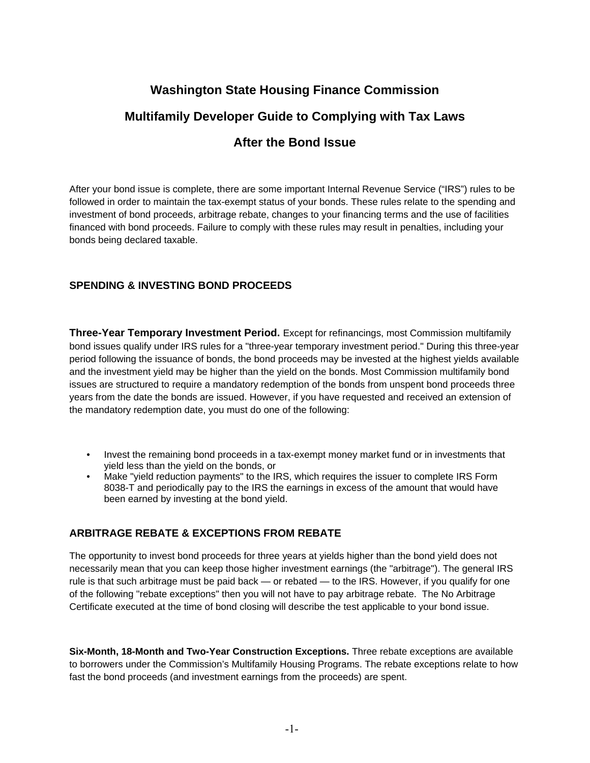# **Washington State Housing Finance Commission Multifamily Developer Guide to Complying with Tax Laws After the Bond Issue**

After your bond issue is complete, there are some important Internal Revenue Service ("IRS") rules to be followed in order to maintain the tax-exempt status of your bonds. These rules relate to the spending and investment of bond proceeds, arbitrage rebate, changes to your financing terms and the use of facilities financed with bond proceeds. Failure to comply with these rules may result in penalties, including your bonds being declared taxable.

## **SPENDING & INVESTING BOND PROCEEDS**

**Three-Year Temporary Investment Period.** Except for refinancings, most Commission multifamily bond issues qualify under IRS rules for a "three-year temporary investment period." During this three-year period following the issuance of bonds, the bond proceeds may be invested at the highest yields available and the investment yield may be higher than the yield on the bonds. Most Commission multifamily bond issues are structured to require a mandatory redemption of the bonds from unspent bond proceeds three years from the date the bonds are issued. However, if you have requested and received an extension of the mandatory redemption date, you must do one of the following:

- Invest the remaining bond proceeds in a tax-exempt money market fund or in investments that yield less than the yield on the bonds, or
- Make "vield reduction payments" to the IRS, which requires the issuer to complete IRS Form 8038-T and periodically pay to the IRS the earnings in excess of the amount that would have been earned by investing at the bond yield.

## **ARBITRAGE REBATE & EXCEPTIONS FROM REBATE**

The opportunity to invest bond proceeds for three years at yields higher than the bond yield does not necessarily mean that you can keep those higher investment earnings (the "arbitrage"). The general IRS rule is that such arbitrage must be paid back — or rebated — to the IRS. However, if you qualify for one of the following "rebate exceptions" then you will not have to pay arbitrage rebate. The No Arbitrage Certificate executed at the time of bond closing will describe the test applicable to your bond issue.

**Six-Month, 18-Month and Two-Year Construction Exceptions.** Three rebate exceptions are available to borrowers under the Commission's Multifamily Housing Programs. The rebate exceptions relate to how fast the bond proceeds (and investment earnings from the proceeds) are spent.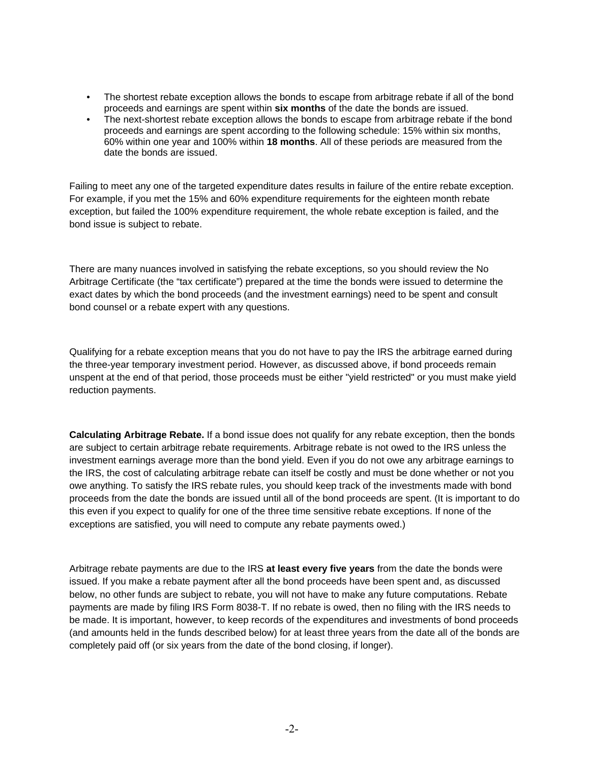- The shortest rebate exception allows the bonds to escape from arbitrage rebate if all of the bond proceeds and earnings are spent within **six months** of the date the bonds are issued.
- The next-shortest rebate exception allows the bonds to escape from arbitrage rebate if the bond proceeds and earnings are spent according to the following schedule: 15% within six months, 60% within one year and 100% within **18 months**. All of these periods are measured from the date the bonds are issued.

Failing to meet any one of the targeted expenditure dates results in failure of the entire rebate exception. For example, if you met the 15% and 60% expenditure requirements for the eighteen month rebate exception, but failed the 100% expenditure requirement, the whole rebate exception is failed, and the bond issue is subject to rebate.

There are many nuances involved in satisfying the rebate exceptions, so you should review the No Arbitrage Certificate (the "tax certificate") prepared at the time the bonds were issued to determine the exact dates by which the bond proceeds (and the investment earnings) need to be spent and consult bond counsel or a rebate expert with any questions.

Qualifying for a rebate exception means that you do not have to pay the IRS the arbitrage earned during the three-year temporary investment period. However, as discussed above, if bond proceeds remain unspent at the end of that period, those proceeds must be either "yield restricted" or you must make yield reduction payments.

**Calculating Arbitrage Rebate.** If a bond issue does not qualify for any rebate exception, then the bonds are subject to certain arbitrage rebate requirements. Arbitrage rebate is not owed to the IRS unless the investment earnings average more than the bond yield. Even if you do not owe any arbitrage earnings to the IRS, the cost of calculating arbitrage rebate can itself be costly and must be done whether or not you owe anything. To satisfy the IRS rebate rules, you should keep track of the investments made with bond proceeds from the date the bonds are issued until all of the bond proceeds are spent. (It is important to do this even if you expect to qualify for one of the three time sensitive rebate exceptions. If none of the exceptions are satisfied, you will need to compute any rebate payments owed.)

Arbitrage rebate payments are due to the IRS **at least every five years** from the date the bonds were issued. If you make a rebate payment after all the bond proceeds have been spent and, as discussed below, no other funds are subject to rebate, you will not have to make any future computations. Rebate payments are made by filing IRS Form 8038-T. If no rebate is owed, then no filing with the IRS needs to be made. It is important, however, to keep records of the expenditures and investments of bond proceeds (and amounts held in the funds described below) for at least three years from the date all of the bonds are completely paid off (or six years from the date of the bond closing, if longer).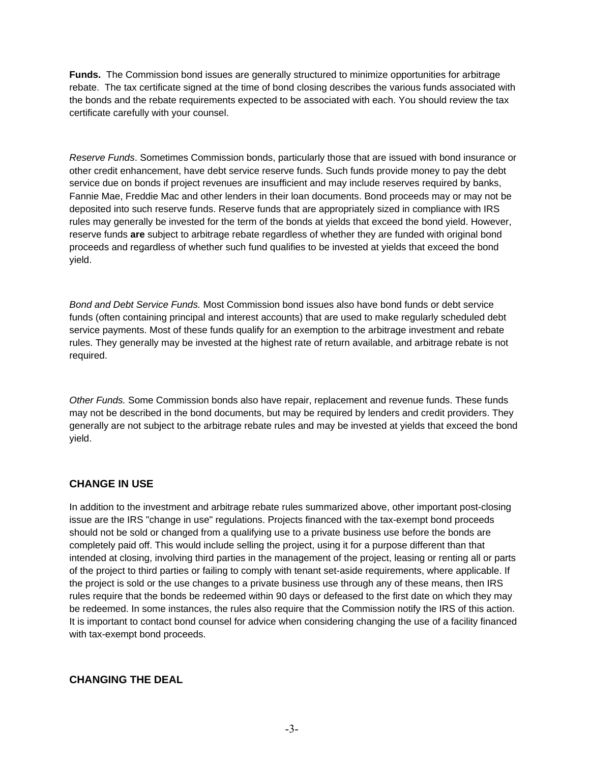**Funds.** The Commission bond issues are generally structured to minimize opportunities for arbitrage rebate. The tax certificate signed at the time of bond closing describes the various funds associated with the bonds and the rebate requirements expected to be associated with each. You should review the tax certificate carefully with your counsel.

*Reserve Funds*. Sometimes Commission bonds, particularly those that are issued with bond insurance or other credit enhancement, have debt service reserve funds. Such funds provide money to pay the debt service due on bonds if project revenues are insufficient and may include reserves required by banks, Fannie Mae, Freddie Mac and other lenders in their loan documents. Bond proceeds may or may not be deposited into such reserve funds. Reserve funds that are appropriately sized in compliance with IRS rules may generally be invested for the term of the bonds at yields that exceed the bond yield. However, reserve funds **are** subject to arbitrage rebate regardless of whether they are funded with original bond proceeds and regardless of whether such fund qualifies to be invested at yields that exceed the bond yield.

*Bond and Debt Service Funds.* Most Commission bond issues also have bond funds or debt service funds (often containing principal and interest accounts) that are used to make regularly scheduled debt service payments. Most of these funds qualify for an exemption to the arbitrage investment and rebate rules. They generally may be invested at the highest rate of return available, and arbitrage rebate is not required.

*Other Funds.* Some Commission bonds also have repair, replacement and revenue funds. These funds may not be described in the bond documents, but may be required by lenders and credit providers. They generally are not subject to the arbitrage rebate rules and may be invested at yields that exceed the bond yield.

## **CHANGE IN USE**

In addition to the investment and arbitrage rebate rules summarized above, other important post-closing issue are the IRS "change in use" regulations. Projects financed with the tax-exempt bond proceeds should not be sold or changed from a qualifying use to a private business use before the bonds are completely paid off. This would include selling the project, using it for a purpose different than that intended at closing, involving third parties in the management of the project, leasing or renting all or parts of the project to third parties or failing to comply with tenant set-aside requirements, where applicable. If the project is sold or the use changes to a private business use through any of these means, then IRS rules require that the bonds be redeemed within 90 days or defeased to the first date on which they may be redeemed. In some instances, the rules also require that the Commission notify the IRS of this action. It is important to contact bond counsel for advice when considering changing the use of a facility financed with tax-exempt bond proceeds.

## **CHANGING THE DEAL**